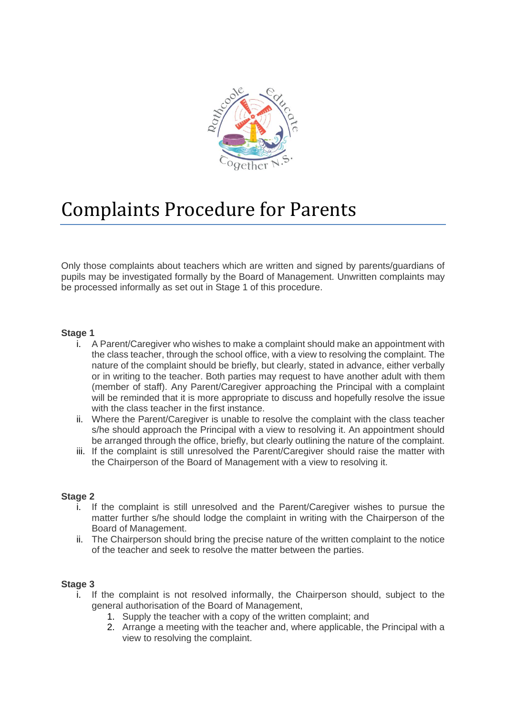

# Complaints Procedure for Parents

Only those complaints about teachers which are written and signed by parents/guardians of pupils may be investigated formally by the Board of Management. Unwritten complaints may be processed informally as set out in Stage 1 of this procedure.

## **Stage 1**

- i. A Parent/Caregiver who wishes to make a complaint should make an appointment with the class teacher, through the school office, with a view to resolving the complaint. The nature of the complaint should be briefly, but clearly, stated in advance, either verbally or in writing to the teacher. Both parties may request to have another adult with them (member of staff). Any Parent/Caregiver approaching the Principal with a complaint will be reminded that it is more appropriate to discuss and hopefully resolve the issue with the class teacher in the first instance.
- ii. Where the Parent/Caregiver is unable to resolve the complaint with the class teacher s/he should approach the Principal with a view to resolving it. An appointment should be arranged through the office, briefly, but clearly outlining the nature of the complaint.
- iii. If the complaint is still unresolved the Parent/Caregiver should raise the matter with the Chairperson of the Board of Management with a view to resolving it.

#### **Stage 2**

- i. If the complaint is still unresolved and the Parent/Caregiver wishes to pursue the matter further s/he should lodge the complaint in writing with the Chairperson of the Board of Management.
- ii. The Chairperson should bring the precise nature of the written complaint to the notice of the teacher and seek to resolve the matter between the parties.

#### **Stage 3**

- i. If the complaint is not resolved informally, the Chairperson should, subject to the general authorisation of the Board of Management,
	- 1. Supply the teacher with a copy of the written complaint; and
	- 2. Arrange a meeting with the teacher and, where applicable, the Principal with a view to resolving the complaint.